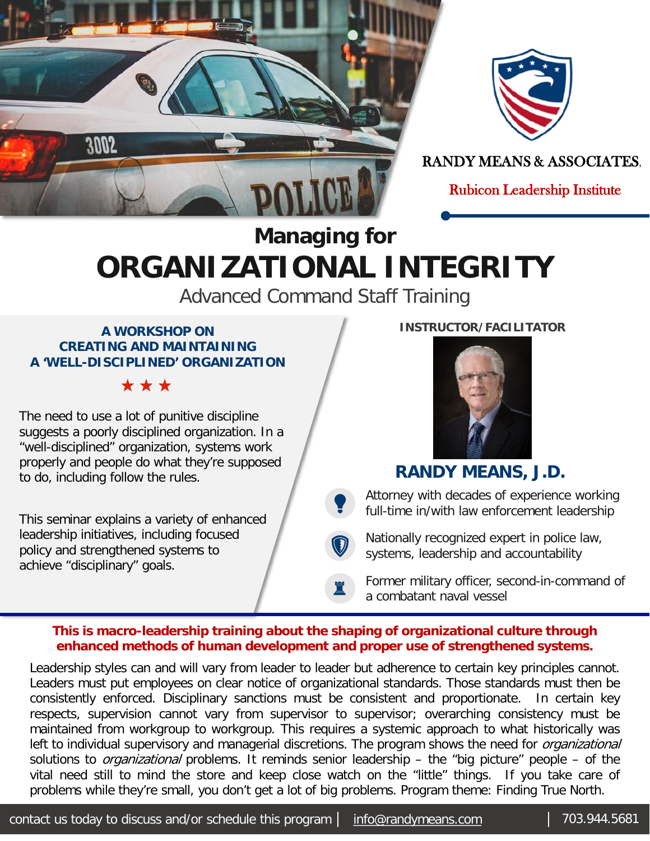



RANDY MEANS & ASSOCIATES,

Rubicon Leadership Institute

## **Managing for ORGANIZATIONAL INTEGRITY**

Advanced Command Staff Training

#### **A WORKSHOP ON CREATING AND MAINTAINING A 'WELL-DISCIPLINED' ORGANIZATION**

\* \* \*

The need to use a lot of punitive discipline suggests a poorly disciplined organization. In a "well-disciplined" organization, systems work properly and people do what they're supposed to do, including follow the rules.

This seminar explains a variety of enhanced leadership initiatives, including focused policy and strengthened systems to achieve "disciplinary" goals.



**INSTRUCTOR/FACILITATOR**

### **RANDY MEANS, J.D.**

Attorney with decades of experience working full-time in/with law enforcement leadership

 $\bigcirc$ Nationally recognized expert in police law, systems, leadership and accountability

Former military officer, second-in-command of a combatant naval vessel

#### **This is macro-leadership training about the shaping of organizational culture through enhanced methods of human development and proper use of strengthened systems.**

Y

♜

Leadership styles can and will vary from leader to leader but adherence to certain key principles cannot. Leaders must put employees on clear notice of organizational standards. Those standards must then be consistently enforced. Disciplinary sanctions must be consistent and proportionate. In certain key respects, supervision cannot vary from supervisor to supervisor; overarching consistency must be maintained from workgroup to workgroup. This requires a systemic approach to what historically was left to individual supervisory and managerial discretions. The program shows the need for *organizational* solutions to *organizational* problems. It reminds senior leadership – the "big picture" people – of the vital need still to mind the store and keep close watch on the "little" things. If you take care of problems while they're small, you don't get a lot of big problems. Program theme: Finding True North.